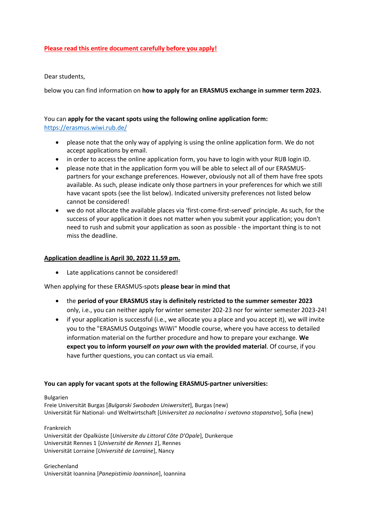## **Please read this entire document carefully before you apply!**

Dear students,

below you can find information on **how to apply for an ERASMUS exchange in summer term 2023.** 

## You can **apply for the vacant spots using the following online application form:**  <https://erasmus.wiwi.rub.de/>

- please note that the only way of applying is using the online application form. We do not accept applications by email.
- in order to access the online application form, you have to login with your RUB login ID.
- please note that in the application form you will be able to select all of our ERASMUSpartners for your exchange preferences. However, obviously not all of them have free spots available. As such, please indicate only those partners in your preferences for which we still have vacant spots (see the list below). Indicated university preferences not listed below cannot be considered!
- we do not allocate the available places via 'first-come-first-served' principle. As such, for the success of your application it does not matter when you submit your application; you don't need to rush and submit your application as soon as possible - the important thing is to not miss the deadline.

## **Application deadline is April 30, 2022 11.59 pm.**

Late applications cannot be considered!

When applying for these ERASMUS-spots **please bear in mind that** 

- the **period of your ERASMUS stay is definitely restricted to the summer semester 2023** only, i.e., you can neither apply for winter semester 202-23 nor for winter semester 2023-24!
- if your application is successful (i.e., we allocate you a place and you accept it), we will invite you to the "ERASMUS Outgoings WiWi" Moodle course, where you have access to detailed information material on the further procedure and how to prepare your exchange. **We expect you to inform yourself** *on your own* **with the provided material**. Of course, if you have further questions, you can contact us via email.

## **You can apply for vacant spots at the following ERASMUS-partner universities:**

Bulgarien

Freie Universität Burgas [*Bulgarski Swoboden Uniwersitet*], Burgas (new) Universität für National- und Weltwirtschaft [*Universitet za nacionalno i svetovno stopanstvo*], Sofia (new)

Frankreich

Universität der Opalküste [*Universite du Littoral Côte D'Opale*], Dunkerque Universität Rennes 1 [*Université de Rennes 1*], Rennes Universität Lorraine [*Université de Lorraine*], Nancy

Griechenland Universität Ioannina [*Panepistimio Ioanninon*], Ioannina